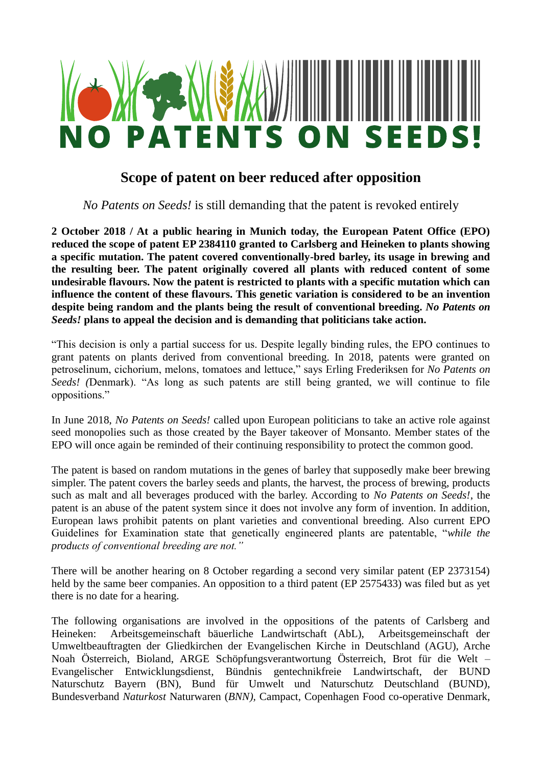

# **Scope of patent on beer reduced after opposition**

*No Patents on Seeds!* is still demanding that the patent is revoked entirely

**2 October 2018 / At a public hearing in Munich today, the European Patent Office (EPO) reduced the scope of patent EP 2384110 granted to Carlsberg and Heineken to plants showing a specific mutation. The patent covered conventionally-bred barley, its usage in brewing and the resulting beer. The patent originally covered all plants with reduced content of some undesirable flavours. Now the patent is restricted to plants with a specific mutation which can influence the content of these flavours. This genetic variation is considered to be an invention despite being random and the plants being the result of conventional breeding.** *No Patents on Seeds!* **plans to appeal the decision and is demanding that politicians take action.** 

"This decision is only a partial success for us. Despite legally binding rules, the EPO continues to grant patents on plants derived from conventional breeding. In 2018, patents were granted on petroselinum, cichorium, melons, tomatoes and lettuce," says Erling Frederiksen for *No Patents on Seeds! (*Denmark). "As long as such patents are still being granted, we will continue to file oppositions."

In June 2018, *No Patents on Seeds!* called upon European politicians to take an active role against seed monopolies such as those created by the Bayer takeover of Monsanto. Member states of the EPO will once again be reminded of their continuing responsibility to protect the common good.

The patent is based on random mutations in the genes of barley that supposedly make beer brewing simpler. The patent covers the barley seeds and plants, the harvest, the process of brewing, products such as malt and all beverages produced with the barley. According to *No Patents on Seeds!*, the patent is an abuse of the patent system since it does not involve any form of invention. In addition, European laws prohibit patents on plant varieties and conventional breeding. Also current EPO Guidelines for Examination state that genetically engineered plants are patentable, "*while the products of conventional breeding are not."*

There will be another hearing on 8 October regarding a second very similar patent (EP 2373154) held by the same beer companies. An opposition to a third patent (EP 2575433) was filed but as yet there is no date for a hearing.

The following organisations are involved in the oppositions of the patents of Carlsberg and Heineken: Arbeitsgemeinschaft bäuerliche Landwirtschaft (AbL), Arbeitsgemeinschaft der Umweltbeauftragten der Gliedkirchen der Evangelischen Kirche in Deutschland (AGU), Arche Noah Österreich, Bioland, ARGE Schöpfungsverantwortung Österreich, Brot für die Welt – Evangelischer Entwicklungsdienst*,* Bündnis gentechnikfreie Landwirtschaft, der BUND Naturschutz Bayern (BN), Bund für Umwelt und Naturschutz Deutschland (BUND), Bundesverband *Naturkost* Naturwaren (*BNN),* Campact, Copenhagen Food co-operative Denmark,